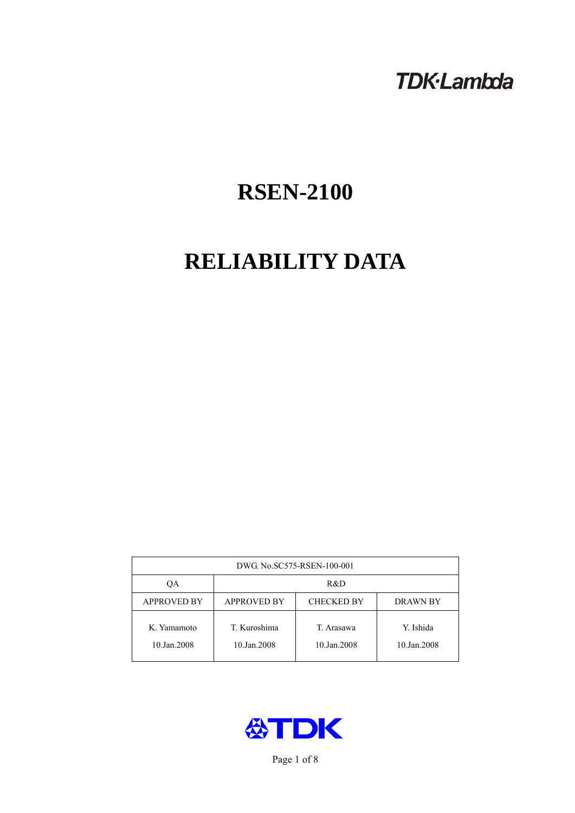# **TDK-Lambda**

# **RSEN-2100**

# **RELIABILITY DATA**

| DWG. No.SC575-RSEN-100-001 |                                                            |                           |                          |  |  |
|----------------------------|------------------------------------------------------------|---------------------------|--------------------------|--|--|
| QA                         | R&D                                                        |                           |                          |  |  |
| <b>APPROVED BY</b>         | <b>APPROVED BY</b><br><b>CHECKED BY</b><br><b>DRAWN BY</b> |                           |                          |  |  |
| K. Yamamoto<br>10.Jan.2008 | T. Kuroshima<br>10.Jan.2008                                | T. Arasawa<br>10.Jan.2008 | Y. Ishida<br>10.Jan.2008 |  |  |



Page 1 of 8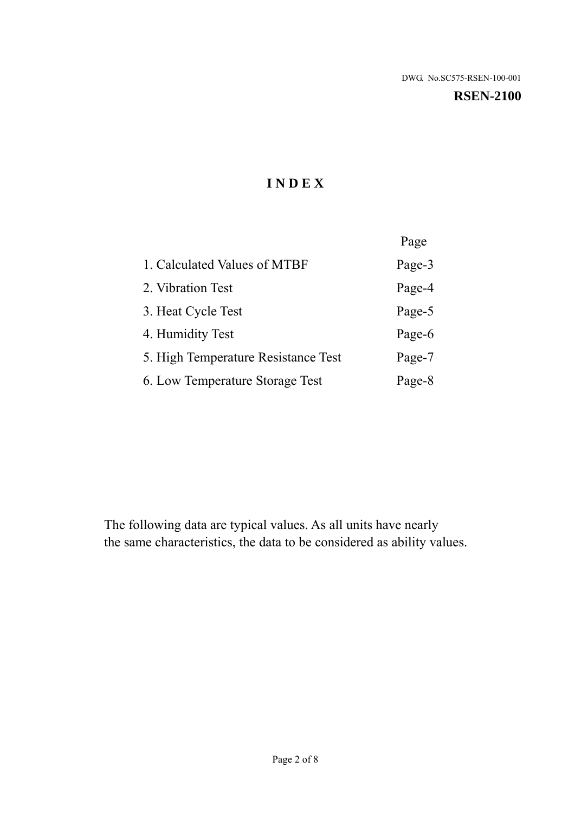#### **RSEN-2100**

# **I N D E X**

|                                     | Page   |
|-------------------------------------|--------|
| 1. Calculated Values of MTBF        | Page-3 |
| 2. Vibration Test                   | Page-4 |
| 3. Heat Cycle Test                  | Page-5 |
| 4. Humidity Test                    | Page-6 |
| 5. High Temperature Resistance Test | Page-7 |
| 6. Low Temperature Storage Test     | Page-8 |

The following data are typical values. As all units have nearly the same characteristics, the data to be considered as ability values.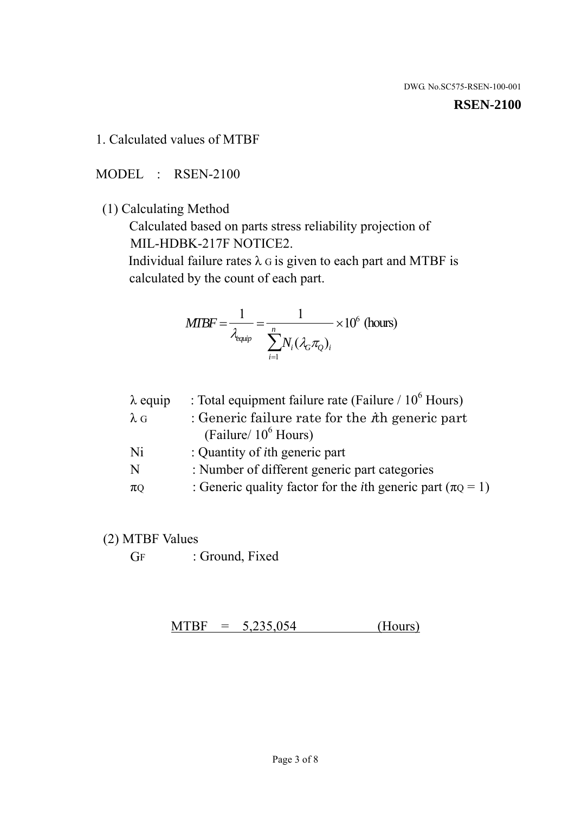#### **RSEN-2100**

1. Calculated values of MTBF

MODEL : RSEN-2100

(1) Calculating Method

 Calculated based on parts stress reliability projection of MIL-HDBK-217F NOTICE2.

Individual failure rates  $\lambda$  G is given to each part and MTBF is calculated by the count of each part.

$$
MIBF = \frac{1}{\lambda_{\text{equip}}} = \frac{1}{\sum_{i=1}^{n} N_i (\lambda_G \pi_Q)_i} \times 10^6 \text{ (hours)}
$$

| $\lambda$ equip | : Total equipment failure rate (Failure $/ 10^6$ Hours)                   |
|-----------------|---------------------------------------------------------------------------|
| $\lambda$ G     | : Generic failure rate for the $\hbar$ generic part                       |
|                 | (Failure/ $10^6$ Hours)                                                   |
| Ni              | : Quantity of <i>i</i> th generic part                                    |
| N               | : Number of different generic part categories                             |
| $\pi$ Q         | : Generic quality factor for the <i>i</i> th generic part ( $\pi Q = 1$ ) |

- (2) MTBF Values
	- GF : Ground, Fixed

 $MTBF = 5,235,054$  (Hours)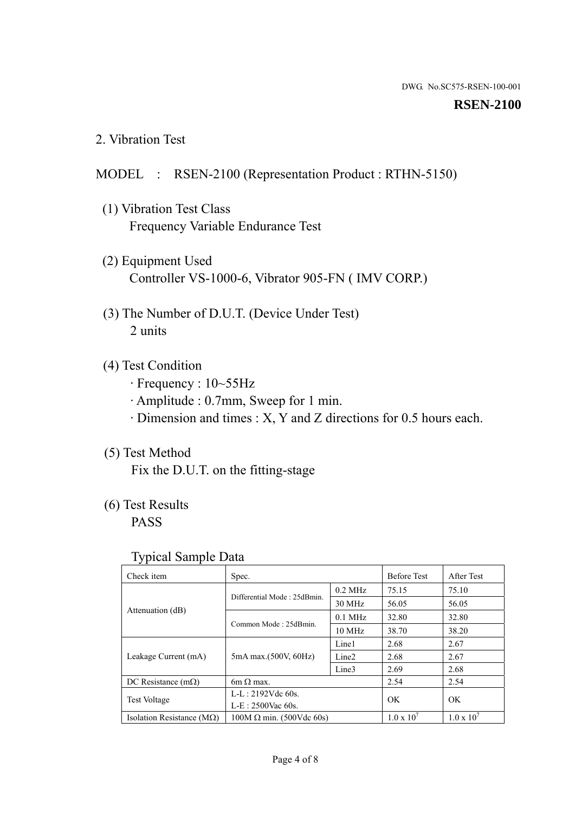#### **RSEN-2100**

2. Vibration Test

# MODEL : RSEN-2100 (Representation Product : RTHN-5150)

- (1) Vibration Test Class Frequency Variable Endurance Test
- (2) Equipment Used Controller VS-1000-6, Vibrator 905-FN ( IMV CORP.)
- (3) The Number of D.U.T. (Device Under Test) 2 units
- (4) Test Condition
	- · Frequency : 10~55Hz
	- · Amplitude : 0.7mm, Sweep for 1 min.
	- · Dimension and times : X, Y and Z directions for 0.5 hours each.

# (5) Test Method

Fix the D.U.T. on the fitting-stage

# (6) Test Results

PASS

#### Typical Sample Data

| Check item                         | Spec.                           |                   | <b>Before Test</b>  | After Test          |
|------------------------------------|---------------------------------|-------------------|---------------------|---------------------|
|                                    | Differential Mode: 25dBmin.     | $0.2$ MHz         | 75.15               | 75.10               |
|                                    |                                 | 30 MHz            | 56.05               | 56.05               |
| Attenuation (dB)                   |                                 | $0.1$ MHz         | 32.80               | 32.80               |
|                                    | Common Mode: 25dBmin.           | 10 MHz            | 38.70               | 38.20               |
| Leakage Current (mA)               | 5mA max.(500V, 60Hz)            | Line1             | 2.68                | 2.67                |
|                                    |                                 | Line <sub>2</sub> | 2.68                | 2.67                |
|                                    |                                 | Line3             | 2.69                | 2.68                |
| DC Resistance $(m\Omega)$          | 6m $\Omega$ max.                |                   | 2.54                | 2.54                |
| <b>Test Voltage</b>                | $L-L: 2192Vdc$ 60s.             |                   | OK                  | OK                  |
|                                    | $L-E$ : 2500Vac 60s.            |                   |                     |                     |
| Isolation Resistance ( $M\Omega$ ) | $100M \Omega$ min. (500Vdc 60s) |                   | $1.0 \times 10^{7}$ | $1.0 \times 10^{7}$ |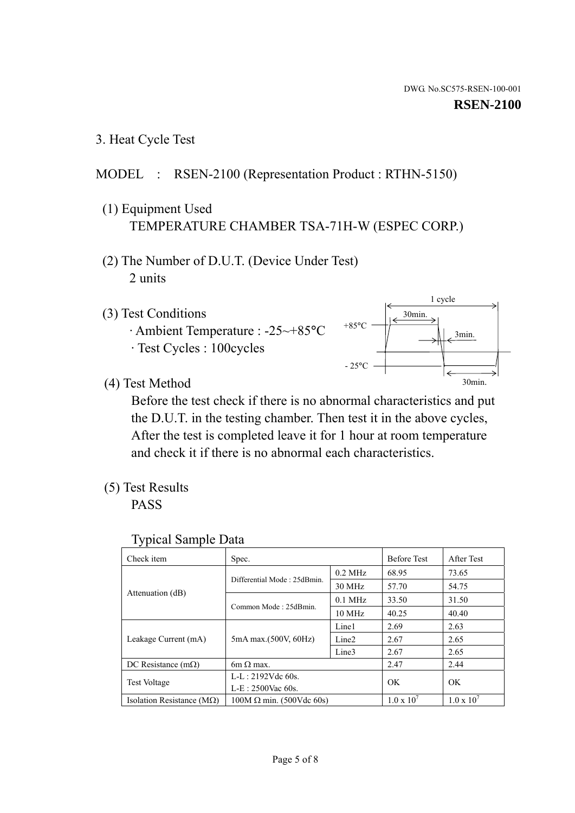1 cycle

30min.

3min.

30min.

3. Heat Cycle Test

# MODEL : RSEN-2100 (Representation Product : RTHN-5150)

- (1) Equipment Used TEMPERATURE CHAMBER TSA-71H-W (ESPEC CORP.)
- (2) The Number of D.U.T. (Device Under Test) 2 units
- (3) Test Conditions
	- · Ambient Temperature : -25~+85°C · Test Cycles : 100cycles
- (4) Test Method

 Before the test check if there is no abnormal characteristics and put the D.U.T. in the testing chamber. Then test it in the above cycles, After the test is completed leave it for 1 hour at room temperature and check it if there is no abnormal each characteristics.

+85°C

 $-25^{\circ}$ C

(5) Test Results

PASS

| <b>Typical Sample Data</b> |  |
|----------------------------|--|
|                            |  |

| Check item                         | Spec.                           |                   | <b>Before Test</b>  | After Test          |
|------------------------------------|---------------------------------|-------------------|---------------------|---------------------|
|                                    | Differential Mode: 25dBmin.     | $0.2$ MHz         | 68.95               | 73.65               |
|                                    |                                 | 30 MHz            | 57.70               | 54.75               |
| Attenuation (dB)                   | Common Mode: 25dBmin.           | $0.1$ MHz         | 33.50               | 31.50               |
|                                    |                                 | 10 MHz            | 40.25               | 40.40               |
| Leakage Current (mA)               | 5mA max.(500V, 60Hz)            | Line1             | 2.69                | 2.63                |
|                                    |                                 | Line <sub>2</sub> | 2.67                | 2.65                |
|                                    |                                 | Line3             | 2.67                | 2.65                |
| DC Resistance $(m\Omega)$          | 6m $\Omega$ max.                |                   | 2.47                | 2.44                |
| Test Voltage                       | $L-L: 2192Vdc$ 60s.             |                   | OK.                 | OK                  |
|                                    | $L-E: 2500$ Vac 60s.            |                   |                     |                     |
| Isolation Resistance ( $M\Omega$ ) | $100M \Omega$ min. (500Vdc 60s) |                   | $1.0 \times 10^{7}$ | $1.0 \times 10^{7}$ |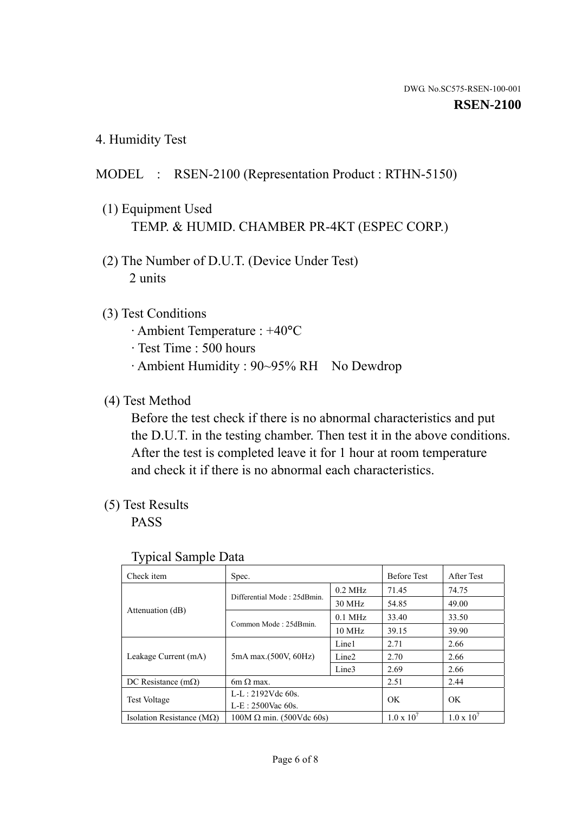4. Humidity Test

# MODEL : RSEN-2100 (Representation Product : RTHN-5150)

- (1) Equipment Used TEMP. & HUMID. CHAMBER PR-4KT (ESPEC CORP.)
- (2) The Number of D.U.T. (Device Under Test) 2 units

### (3) Test Conditions

- · Ambient Temperature : +40°C
- · Test Time : 500 hours
- · Ambient Humidity : 90~95% RH No Dewdrop

# (4) Test Method

 Before the test check if there is no abnormal characteristics and put the D.U.T. in the testing chamber. Then test it in the above conditions. After the test is completed leave it for 1 hour at room temperature and check it if there is no abnormal each characteristics.

# (5) Test Results

PASS

| Check item                         | Spec.                           |                   | <b>Before Test</b>  | After Test          |
|------------------------------------|---------------------------------|-------------------|---------------------|---------------------|
|                                    |                                 |                   |                     |                     |
|                                    | Differential Mode: 25dBmin.     | $0.2$ MHz         | 71.45               | 74.75               |
|                                    |                                 | 30 MHz            | 54.85               | 49.00               |
| Attenuation (dB)                   | Common Mode: 25dBmin.           | $0.1$ MHz         | 33.40               | 33.50               |
|                                    |                                 | $10$ MHz          | 39.15               | 39.90               |
| Leakage Current (mA)               | 5mA max.(500V, 60Hz)            | Line1             | 2.71                | 2.66                |
|                                    |                                 | Line <sub>2</sub> | 2.70                | 2.66                |
|                                    |                                 | Line3             | 2.69                | 2.66                |
| DC Resistance $(m\Omega)$          | $6m \Omega$ max.                |                   | 2.51                | 2.44                |
| <b>Test Voltage</b>                | $L-L: 2192Vdc$ 60s.             |                   | OK<br>OK            |                     |
|                                    | $L-E: 2500$ Vac 60s.            |                   |                     |                     |
| Isolation Resistance ( $M\Omega$ ) | $100M \Omega$ min. (500Vdc 60s) |                   | $1.0 \times 10^{7}$ | $1.0 \times 10^{7}$ |

#### Typical Sample Data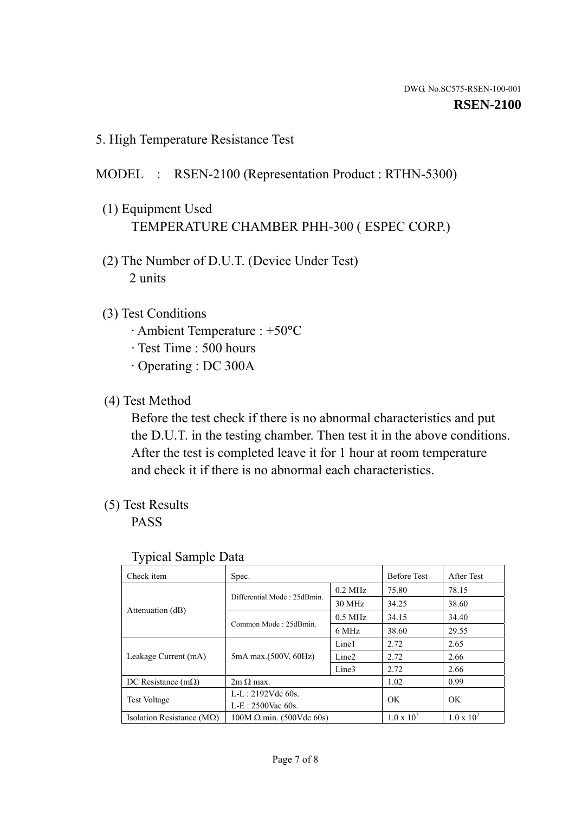5. High Temperature Resistance Test

### MODEL : RSEN-2100 (Representation Product : RTHN-5300)

- (1) Equipment Used TEMPERATURE CHAMBER PHH-300 ( ESPEC CORP.)
- (2) The Number of D.U.T. (Device Under Test) 2 units
- (3) Test Conditions
	- · Ambient Temperature : +50°C
	- · Test Time : 500 hours
	- · Operating : DC 300A
- (4) Test Method

 Before the test check if there is no abnormal characteristics and put the D.U.T. in the testing chamber. Then test it in the above conditions. After the test is completed leave it for 1 hour at room temperature and check it if there is no abnormal each characteristics.

(5) Test Results

PASS

| . .<br>Check item                  | Spec.                           |                   | <b>Before Test</b>  | After Test          |
|------------------------------------|---------------------------------|-------------------|---------------------|---------------------|
|                                    | Differential Mode: 25dBmin.     | $0.2$ MHz         | 75.80               | 78.15               |
|                                    |                                 | 30 MHz            | 34.25               | 38.60               |
| Attenuation (dB)                   | Common Mode: 25dBmin.           | $0.5$ MHz         | 34.15               | 34.40               |
|                                    |                                 | 6 MHz             | 38.60               | 29.55               |
| Leakage Current (mA)               | 5mA max.(500V, 60Hz)            | Line1             | 2.72                | 2.65                |
|                                    |                                 | Line <sub>2</sub> | 2.72                | 2.66                |
|                                    |                                 | Line3             | 2.72                | 2.66                |
| DC Resistance $(m\Omega)$          | $2m \Omega$ max.                |                   | 1.02                | 0.99                |
| <b>Test Voltage</b>                | $L-L: 2192Vdc$ 60s.             |                   | OK                  | OK                  |
|                                    | $L-E: 2500$ Vac 60s.            |                   |                     |                     |
| Isolation Resistance ( $M\Omega$ ) | $100M \Omega$ min. (500Vdc 60s) |                   | $1.0 \times 10^{7}$ | $1.0 \times 10^{7}$ |

#### Typical Sample Data